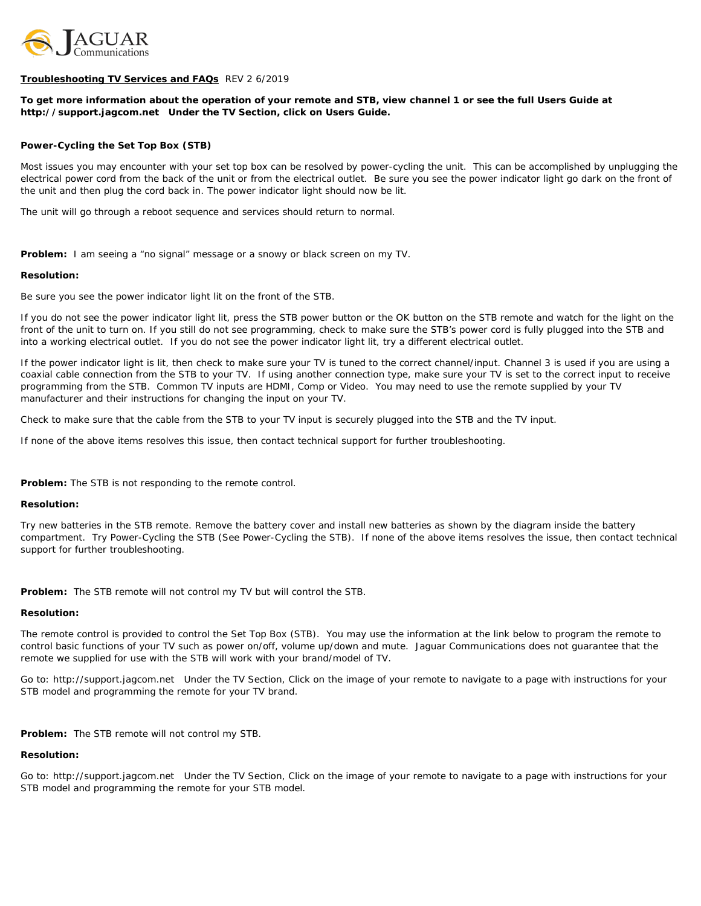

## **Troubleshooting TV Services and FAQs** REV 2 6/2019

## *To get more information about the operation of your remote and STB, view channel 1 or see the full Users Guide at http://support.jagcom.net Under the TV Section, click on Users Guide.*

## **Power-Cycling the Set Top Box (STB)**

Most issues you may encounter with your set top box can be resolved by power-cycling the unit. This can be accomplished by unplugging the electrical power cord from the back of the unit or from the electrical outlet. Be sure you see the power indicator light go dark on the front of the unit and then plug the cord back in. The power indicator light should now be lit.

The unit will go through a reboot sequence and services should return to normal.

**Problem:** I am seeing a "no signal" message or a snowy or black screen on my TV.

#### **Resolution:**

Be sure you see the power indicator light lit on the front of the STB.

If you do not see the power indicator light lit, press the STB power button or the OK button on the STB remote and watch for the light on the front of the unit to turn on. If you still do not see programming, check to make sure the STB's power cord is fully plugged into the STB and into a working electrical outlet. If you do not see the power indicator light lit, try a different electrical outlet.

If the power indicator light is lit, then check to make sure your TV is tuned to the correct channel/input. Channel 3 is used if you are using a coaxial cable connection from the STB to your TV. If using another connection type, make sure your TV is set to the correct input to receive programming from the STB. Common TV inputs are HDMI, Comp or Video. You may need to use the remote supplied by your TV manufacturer and their instructions for changing the input on your TV.

Check to make sure that the cable from the STB to your TV input is securely plugged into the STB and the TV input.

If none of the above items resolves this issue, then contact technical support for further troubleshooting.

**Problem:** The STB is not responding to the remote control.

#### **Resolution:**

Try new batteries in the STB remote. Remove the battery cover and install new batteries as shown by the diagram inside the battery compartment. Try Power-Cycling the STB (See Power-Cycling the STB). If none of the above items resolves the issue, then contact technical support for further troubleshooting.

**Problem:** The STB remote will not control my TV but will control the STB.

#### **Resolution:**

The remote control is provided to control the Set Top Box (STB). You may use the information at the link below to program the remote to control basic functions of your TV such as power on/off, volume up/down and mute. Jaguar Communications does not guarantee that the remote we supplied for use with the STB will work with your brand/model of TV.

Go to: http://support.jagcom.net Under the TV Section, Click on the image of your remote to navigate to a page with instructions for your STB model and programming the remote for your TV brand.

**Problem:** The STB remote will not control my STB.

## **Resolution:**

Go to: http://support.jagcom.net Under the TV Section, Click on the image of your remote to navigate to a page with instructions for your STB model and programming the remote for your STB model.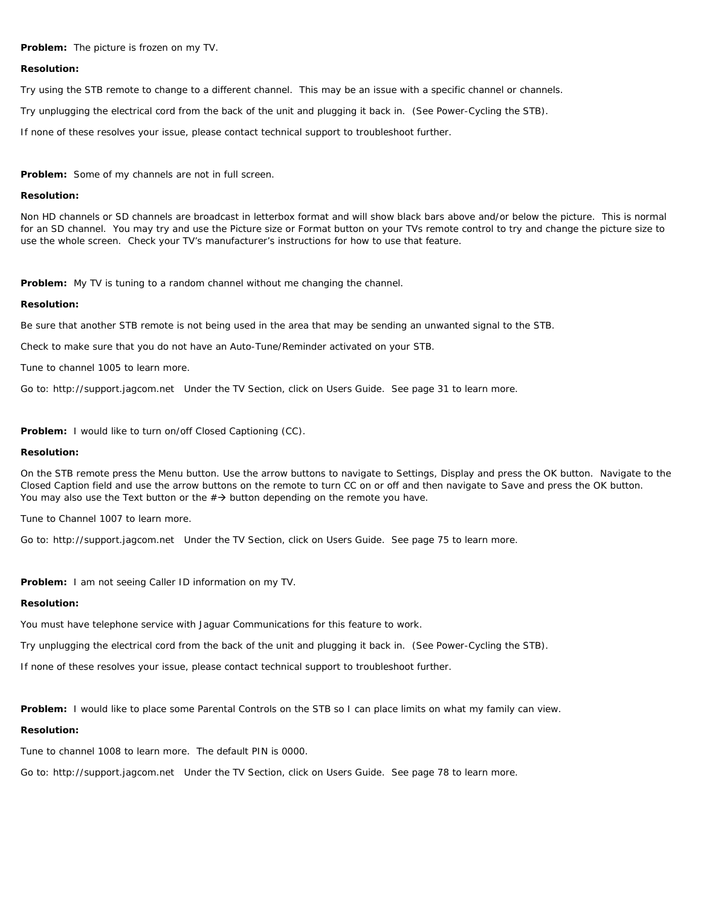**Problem:** The picture is frozen on my TV.

### **Resolution:**

Try using the STB remote to change to a different channel. This may be an issue with a specific channel or channels.

Try unplugging the electrical cord from the back of the unit and plugging it back in. (See Power-Cycling the STB).

If none of these resolves your issue, please contact technical support to troubleshoot further.

**Problem:** Some of my channels are not in full screen.

### **Resolution:**

Non HD channels or SD channels are broadcast in letterbox format and will show black bars above and/or below the picture. This is normal for an SD channel. You may try and use the Picture size or Format button on your TVs remote control to try and change the picture size to use the whole screen. Check your TV's manufacturer's instructions for how to use that feature.

**Problem:** My TV is tuning to a random channel without me changing the channel.

### **Resolution:**

Be sure that another STB remote is not being used in the area that may be sending an unwanted signal to the STB.

Check to make sure that you do not have an Auto-Tune/Reminder activated on your STB.

Tune to channel 1005 to learn more.

Go to: http://support.jagcom.net Under the TV Section, click on Users Guide. See page 31 to learn more.

**Problem:** I would like to turn on/off Closed Captioning (CC).

#### **Resolution:**

On the STB remote press the Menu button. Use the arrow buttons to navigate to Settings, Display and press the OK button. Navigate to the Closed Caption field and use the arrow buttons on the remote to turn CC on or off and then navigate to Save and press the OK button. You may also use the Text button or the  $\#\rightarrow$  button depending on the remote you have.

Tune to Channel 1007 to learn more.

Go to: http://support.jagcom.net Under the TV Section, click on Users Guide. See page 75 to learn more.

**Problem:** I am not seeing Caller ID information on my TV.

## **Resolution:**

You must have telephone service with Jaguar Communications for this feature to work.

Try unplugging the electrical cord from the back of the unit and plugging it back in. (See Power-Cycling the STB).

If none of these resolves your issue, please contact technical support to troubleshoot further.

**Problem:** I would like to place some Parental Controls on the STB so I can place limits on what my family can view.

## **Resolution:**

Tune to channel 1008 to learn more. The default PIN is 0000.

Go to: http://support.jagcom.net Under the TV Section, click on Users Guide. See page 78 to learn more.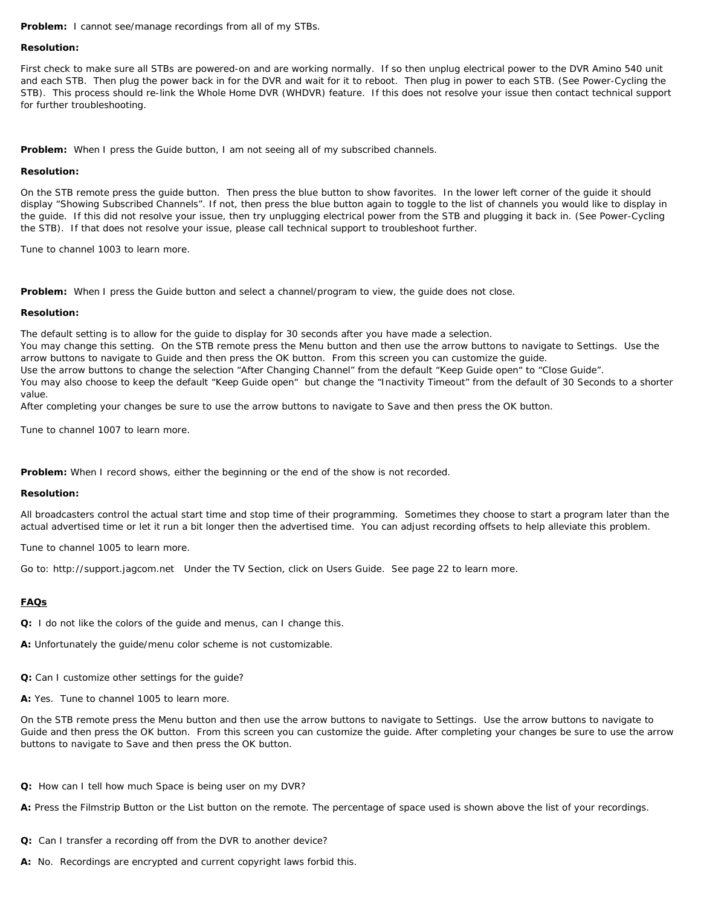**Problem:** I cannot see/manage recordings from all of my STBs.

#### **Resolution:**

First check to make sure all STBs are powered-on and are working normally. If so then unplug electrical power to the DVR Amino 540 unit and each STB. Then plug the power back in for the DVR and wait for it to reboot. Then plug in power to each STB. (See Power-Cycling the STB). This process should re-link the Whole Home DVR (WHDVR) feature. If this does not resolve your issue then contact technical support for further troubleshooting.

**Problem:** When I press the Guide button, I am not seeing all of my subscribed channels.

### **Resolution:**

On the STB remote press the guide button. Then press the blue button to show favorites. In the lower left corner of the guide it should display "Showing Subscribed Channels". If not, then press the blue button again to toggle to the list of channels you would like to display in the guide. If this did not resolve your issue, then try unplugging electrical power from the STB and plugging it back in. (See Power-Cycling the STB). If that does not resolve your issue, please call technical support to troubleshoot further.

Tune to channel 1003 to learn more.

**Problem:** When I press the Guide button and select a channel/program to view, the guide does not close.

### **Resolution:**

The default setting is to allow for the guide to display for 30 seconds after you have made a selection.

You may change this setting. On the STB remote press the Menu button and then use the arrow buttons to navigate to Settings. Use the arrow buttons to navigate to Guide and then press the OK button. From this screen you can customize the guide.

Use the arrow buttons to change the selection "After Changing Channel" from the default "Keep Guide open" to "Close Guide".

You may also choose to keep the default "Keep Guide open" but change the "Inactivity Timeout" from the default of 30 Seconds to a shorter value.

After completing your changes be sure to use the arrow buttons to navigate to Save and then press the OK button.

Tune to channel 1007 to learn more.

**Problem:** When I record shows, either the beginning or the end of the show is not recorded.

## **Resolution:**

All broadcasters control the actual start time and stop time of their programming. Sometimes they choose to start a program later than the actual advertised time or let it run a bit longer then the advertised time. You can adjust recording offsets to help alleviate this problem.

Tune to channel 1005 to learn more.

Go to: http://support.jagcom.net Under the TV Section, click on Users Guide. See page 22 to learn more.

# **FAQs**

**Q:** I do not like the colors of the guide and menus, can I change this.

**A:** Unfortunately the guide/menu color scheme is not customizable.

**Q:** Can I customize other settings for the guide?

**A:** Yes. Tune to channel 1005 to learn more.

On the STB remote press the Menu button and then use the arrow buttons to navigate to Settings. Use the arrow buttons to navigate to Guide and then press the OK button. From this screen you can customize the guide. After completing your changes be sure to use the arrow buttons to navigate to Save and then press the OK button.

**Q:** How can I tell how much Space is being user on my DVR?

**A:** Press the Filmstrip Button or the List button on the remote. The percentage of space used is shown above the list of your recordings.

- **Q:** Can I transfer a recording off from the DVR to another device?
- **A:** No. Recordings are encrypted and current copyright laws forbid this.